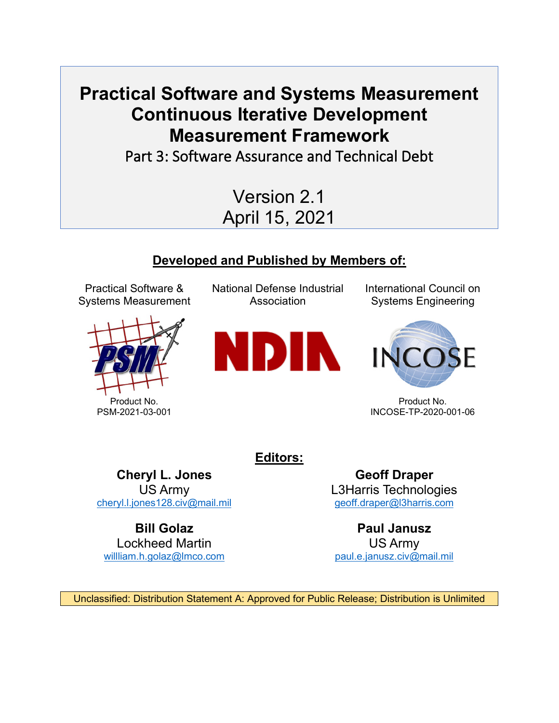# **Practical Software and Systems Measurement Continuous Iterative Development Measurement Framework**<br>Part 3: Software Assurance and Technical Debt

Version 2.1 April 15, 2021

# **Developed and Published by Members of:**

Practical Software & Systems Measurement



National Defense Industrial Association



International Council on Systems Engineering



Product No. INCOSE-TP-2020-001-06

**Editors:**

**Cheryl L. Jones** US Army [cheryl.l.jones128.civ@mail.mil](mailto:cheryl.l.jones128.civ@mail.mil)

**Bill Golaz** Lockheed Martin [willliam.h.golaz@lmco.com](mailto:willliam.h.golaz@lmco.com)

**Geoff Draper** L3Harris Technologies [geoff.draper@l3harris.com](mailto:geoff.draper@l3harris.com)

**Paul Janusz** US Army [paul.e.janusz.civ@mail.mil](mailto:paul.e.janusz.civ@mail.mil)

Unclassified: Distribution Statement A: Approved for Public Release; Distribution is Unlimited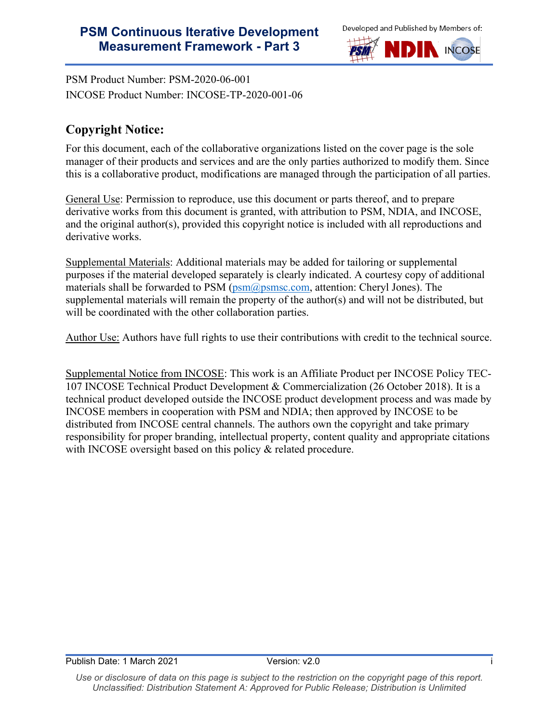

PSM Product Number: PSM-2020-06-001 INCOSE Product Number: INCOSE-TP-2020-001-06

# **Copyright Notice:**

For this document, each of the collaborative organizations listed on the cover page is the sole manager of their products and services and are the only parties authorized to modify them. Since this is a collaborative product, modifications are managed through the participation of all parties.

General Use: Permission to reproduce, use this document or parts thereof, and to prepare derivative works from this document is granted, with attribution to PSM, NDIA, and INCOSE, and the original author(s), provided this copyright notice is included with all reproductions and derivative works.

Supplemental Materials: Additional materials may be added for tailoring or supplemental purposes if the material developed separately is clearly indicated. A courtesy copy of additional materials shall be forwarded to PSM ( $psm@psmsc.com$ , attention: Cheryl Jones). The supplemental materials will remain the property of the author(s) and will not be distributed, but will be coordinated with the other collaboration parties.

Author Use: Authors have full rights to use their contributions with credit to the technical source.

Supplemental Notice from INCOSE: This work is an Affiliate Product per INCOSE Policy TEC-107 INCOSE Technical Product Development & Commercialization (26 October 2018). It is a technical product developed outside the INCOSE product development process and was made by INCOSE members in cooperation with PSM and NDIA; then approved by INCOSE to be distributed from INCOSE central channels. The authors own the copyright and take primary responsibility for proper branding, intellectual property, content quality and appropriate citations with INCOSE oversight based on this policy & related procedure.

Use or disclosure of data on this page is subject to the restriction on the copyright page of this report. *Unclassified: Distribution Statement A: Approved for Public Release; Distribution is Unlimited*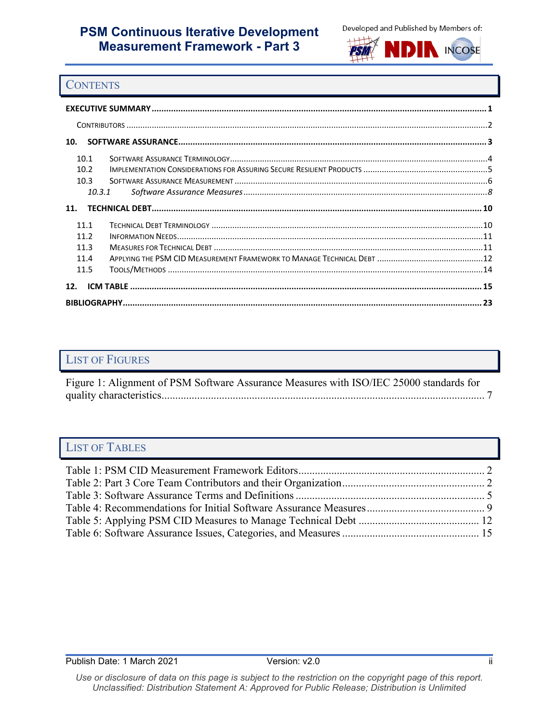



#### **CONTENTS**

| 10.  |        |  |  |  |  |  |  |
|------|--------|--|--|--|--|--|--|
| 10.1 |        |  |  |  |  |  |  |
| 10.2 |        |  |  |  |  |  |  |
| 10.3 |        |  |  |  |  |  |  |
|      | 10.3.1 |  |  |  |  |  |  |
| 11.  |        |  |  |  |  |  |  |
| 11 1 |        |  |  |  |  |  |  |
| 11.2 |        |  |  |  |  |  |  |
| 11.3 |        |  |  |  |  |  |  |
| 11.4 |        |  |  |  |  |  |  |
| 11.5 |        |  |  |  |  |  |  |
| 12.  |        |  |  |  |  |  |  |
|      |        |  |  |  |  |  |  |

### LIST OF FIGURES

[Figure 1: Alignment of PSM Software Assurance Measures with ISO/IEC 25000 standards for](#page-9-0)  [quality characteristics......................................................................................................................](#page-9-0) 7

## LIST OF TABLES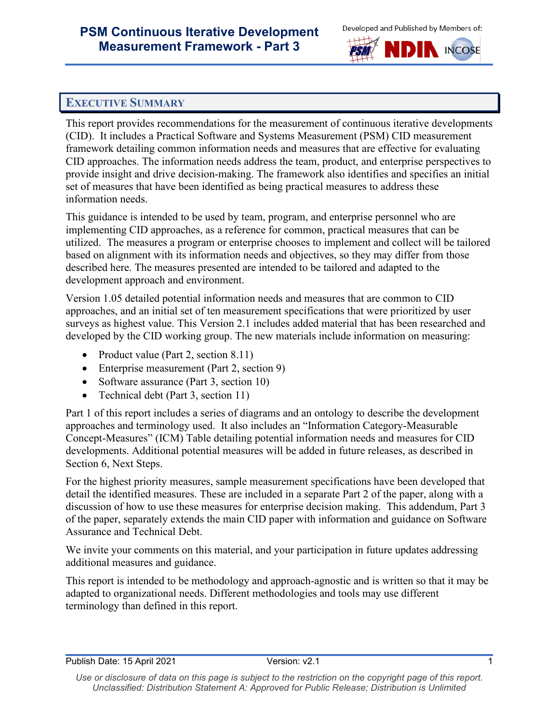

#### <span id="page-3-0"></span>**EXECUTIVE SUMMARY**

This report provides recommendations for the measurement of continuous iterative developments (CID). It includes a Practical Software and Systems Measurement (PSM) CID measurement framework detailing common information needs and measures that are effective for evaluating CID approaches. The information needs address the team, product, and enterprise perspectives to provide insight and drive decision-making. The framework also identifies and specifies an initial set of measures that have been identified as being practical measures to address these information needs.

This guidance is intended to be used by team, program, and enterprise personnel who are implementing CID approaches, as a reference for common, practical measures that can be utilized. The measures a program or enterprise chooses to implement and collect will be tailored based on alignment with its information needs and objectives, so they may differ from those described here. The measures presented are intended to be tailored and adapted to the development approach and environment.

Version 1.05 detailed potential information needs and measures that are common to CID approaches, and an initial set of ten measurement specifications that were prioritized by user surveys as highest value. This Version 2.1 includes added material that has been researched and developed by the CID working group. The new materials include information on measuring:

- Product value (Part 2, section 8.11)
- Enterprise measurement (Part 2, section 9)
- Software assurance (Part 3, section 10)
- Technical debt (Part 3, section 11)

Part 1 of this report includes a series of diagrams and an ontology to describe the development approaches and terminology used. It also includes an "Information Category-Measurable Concept-Measures" (ICM) Table detailing potential information needs and measures for CID developments. Additional potential measures will be added in future releases, as described in Section 6, Next Steps.

For the highest priority measures, sample measurement specifications have been developed that detail the identified measures. These are included in a separate Part 2 of the paper, along with a discussion of how to use these measures for enterprise decision making. This addendum, Part 3 of the paper, separately extends the main CID paper with information and guidance on Software Assurance and Technical Debt.

We invite your comments on this material, and your participation in future updates addressing additional measures and guidance.

This report is intended to be methodology and approach-agnostic and is written so that it may be adapted to organizational needs. Different methodologies and tools may use different terminology than defined in this report.

Use or disclosure of data on this page is subject to the restriction on the copyright page of this report. *Unclassified: Distribution Statement A: Approved for Public Release; Distribution is Unlimited*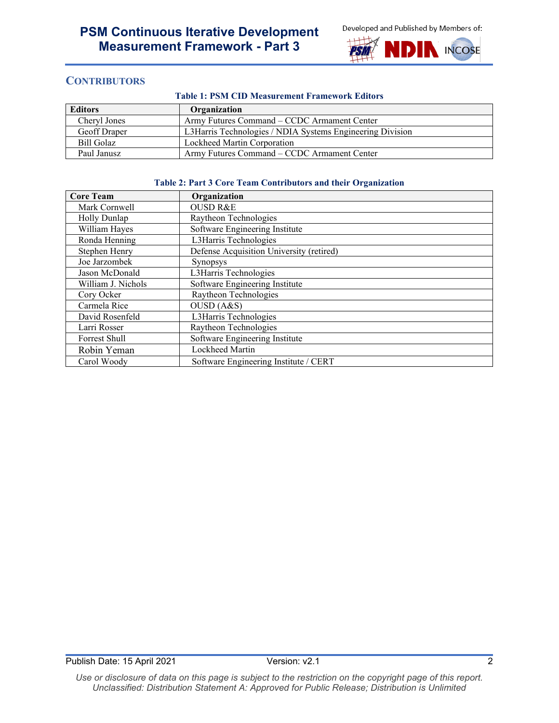

#### <span id="page-4-0"></span>**CONTRIBUTORS**

#### **Table 1: PSM CID Measurement Framework Editors**

<span id="page-4-1"></span>

| <b>Editors</b> | Organization                                              |
|----------------|-----------------------------------------------------------|
| Cheryl Jones   | Army Futures Command – CCDC Armament Center               |
| Geoff Draper   | L3Harris Technologies / NDIA Systems Engineering Division |
| Bill Golaz     | Lockheed Martin Corporation                               |
| Paul Janusz    | Army Futures Command – CCDC Armament Center               |

#### **Table 2: Part 3 Core Team Contributors and their Organization**

<span id="page-4-2"></span>

| <b>Core Team</b>   | Organization                             |
|--------------------|------------------------------------------|
| Mark Cornwell      | <b>OUSD R&amp;E</b>                      |
| Holly Dunlap       | Raytheon Technologies                    |
| William Hayes      | Software Engineering Institute           |
| Ronda Henning      | L3Harris Technologies                    |
| Stephen Henry      | Defense Acquisition University (retired) |
| Joe Jarzombek      | Synopsys                                 |
| Jason McDonald     | L3Harris Technologies                    |
| William J. Nichols | Software Engineering Institute           |
| Cory Ocker         | Raytheon Technologies                    |
| Carmela Rice       | OUSD (A&S)                               |
| David Rosenfeld    | L3Harris Technologies                    |
| Larri Rosser       | Raytheon Technologies                    |
| Forrest Shull      | Software Engineering Institute           |
| Robin Yeman        | Lockheed Martin                          |
| Carol Woody        | Software Engineering Institute / CERT    |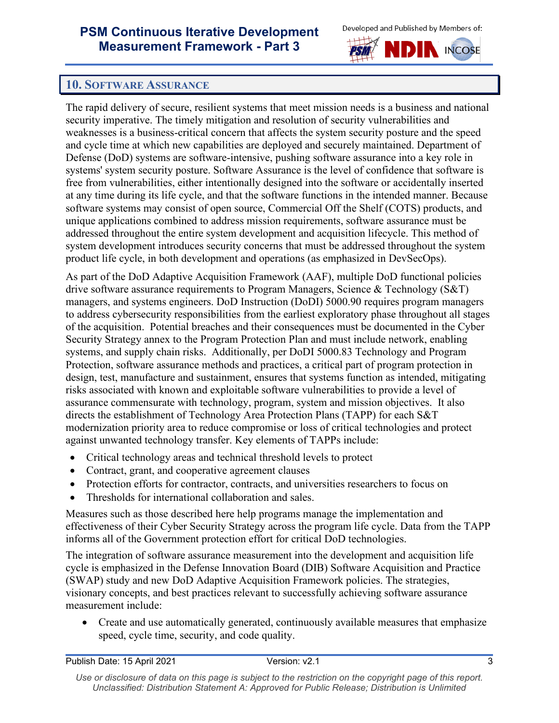

### <span id="page-5-0"></span>**10. SOFTWARE ASSURANCE**

The rapid delivery of secure, resilient systems that meet mission needs is a business and national security imperative. The timely mitigation and resolution of security vulnerabilities and weaknesses is a business-critical concern that affects the system security posture and the speed and cycle time at which new capabilities are deployed and securely maintained. Department of Defense (DoD) systems are software-intensive, pushing software assurance into a key role in systems' system security posture. Software Assurance is the level of confidence that software is free from vulnerabilities, either intentionally designed into the software or accidentally inserted at any time during its life cycle, and that the software functions in the intended manner. Because software systems may consist of open source, Commercial Off the Shelf (COTS) products, and unique applications combined to address mission requirements, software assurance must be addressed throughout the entire system development and acquisition lifecycle. This method of system development introduces security concerns that must be addressed throughout the system product life cycle, in both development and operations (as emphasized in DevSecOps).

As part of the DoD Adaptive Acquisition Framework (AAF), multiple DoD functional policies drive software assurance requirements to Program Managers, Science & Technology (S&T) managers, and systems engineers. DoD Instruction (DoDI) 5000.90 requires program managers to address cybersecurity responsibilities from the earliest exploratory phase throughout all stages of the acquisition. Potential breaches and their consequences must be documented in the Cyber Security Strategy annex to the Program Protection Plan and must include network, enabling systems, and supply chain risks. Additionally, per DoDI 5000.83 Technology and Program Protection, software assurance methods and practices, a critical part of program protection in design, test, manufacture and sustainment, ensures that systems function as intended, mitigating risks associated with known and exploitable software vulnerabilities to provide a level of assurance commensurate with technology, program, system and mission objectives. It also directs the establishment of Technology Area Protection Plans (TAPP) for each S&T modernization priority area to reduce compromise or loss of critical technologies and protect against unwanted technology transfer. Key elements of TAPPs include:

- Critical technology areas and technical threshold levels to protect
- Contract, grant, and cooperative agreement clauses
- Protection efforts for contractor, contracts, and universities researchers to focus on
- Thresholds for international collaboration and sales.

Measures such as those described here help programs manage the implementation and effectiveness of their Cyber Security Strategy across the program life cycle. Data from the TAPP informs all of the Government protection effort for critical DoD technologies.

The integration of software assurance measurement into the development and acquisition life cycle is emphasized in the Defense Innovation Board (DIB) Software Acquisition and Practice (SWAP) study and new DoD Adaptive Acquisition Framework policies. The strategies, visionary concepts, and best practices relevant to successfully achieving software assurance measurement include:

• Create and use automatically generated, continuously available measures that emphasize speed, cycle time, security, and code quality.

Use or disclosure of data on this page is subject to the restriction on the copyright page of this report. *Unclassified: Distribution Statement A: Approved for Public Release; Distribution is Unlimited*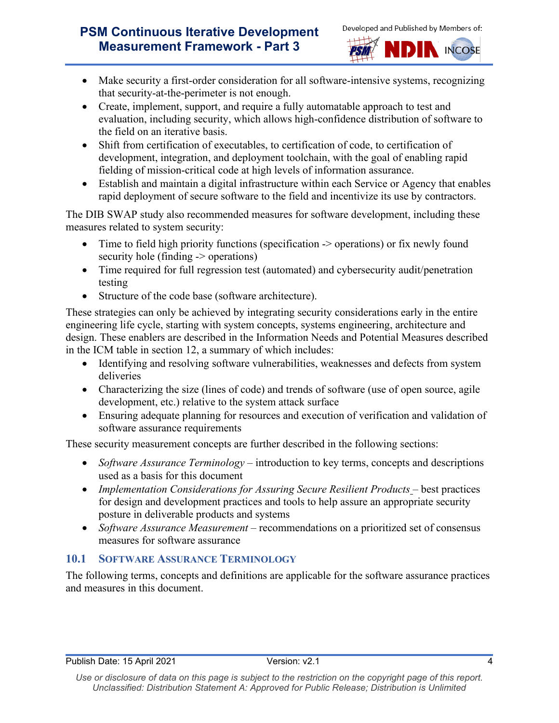



- Make security a first-order consideration for all software-intensive systems, recognizing that security-at-the-perimeter is not enough.
- Create, implement, support, and require a fully automatable approach to test and evaluation, including security, which allows high-confidence distribution of software to the field on an iterative basis.
- Shift from certification of executables, to certification of code, to certification of development, integration, and deployment toolchain, with the goal of enabling rapid fielding of mission-critical code at high levels of information assurance.
- Establish and maintain a digital infrastructure within each Service or Agency that enables rapid deployment of secure software to the field and incentivize its use by contractors.

The DIB SWAP study also recommended measures for software development, including these measures related to system security:

- Time to field high priority functions (specification -> operations) or fix newly found security hole (finding -> operations)
- Time required for full regression test (automated) and cybersecurity audit/penetration testing
- Structure of the code base (software architecture).

These strategies can only be achieved by integrating security considerations early in the entire engineering life cycle, starting with system concepts, systems engineering, architecture and design. These enablers are described in the Information Needs and Potential Measures described in the ICM table in section 12, a summary of which includes:

- Identifying and resolving software vulnerabilities, weaknesses and defects from system deliveries
- Characterizing the size (lines of code) and trends of software (use of open source, agile development, etc.) relative to the system attack surface
- Ensuring adequate planning for resources and execution of verification and validation of software assurance requirements

These security measurement concepts are further described in the following sections:

- *Software Assurance Terminology* introduction to key terms, concepts and descriptions used as a basis for this document
- *Implementation Considerations for Assuring Secure Resilient Products* best practices for design and development practices and tools to help assure an appropriate security posture in deliverable products and systems
- *Software Assurance Measurement* recommendations on a prioritized set of consensus measures for software assurance

### <span id="page-6-0"></span>**10.1 SOFTWARE ASSURANCE TERMINOLOGY**

The following terms, concepts and definitions are applicable for the software assurance practices and measures in this document.

Use or disclosure of data on this page is subject to the restriction on the copyright page of this report. *Unclassified: Distribution Statement A: Approved for Public Release; Distribution is Unlimited*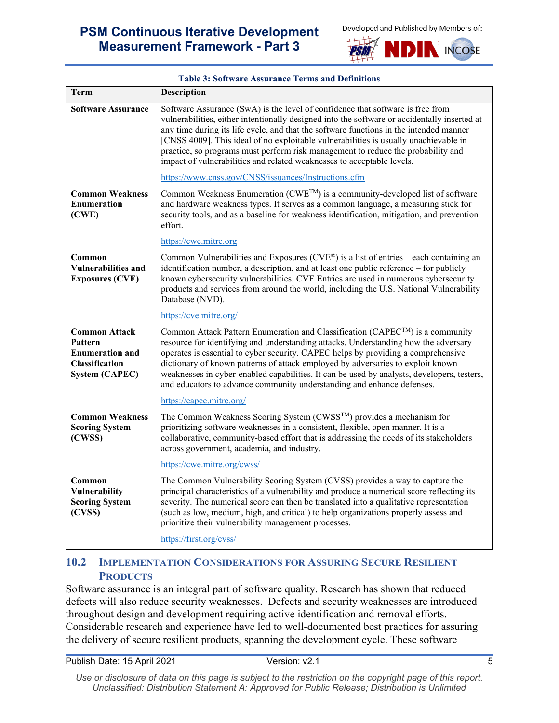



<span id="page-7-1"></span>

| <b>Term</b>                                                                                          | <b>Description</b>                                                                                                                                                                                                                                                                                                                                                                                                                                                                                                                                            |
|------------------------------------------------------------------------------------------------------|---------------------------------------------------------------------------------------------------------------------------------------------------------------------------------------------------------------------------------------------------------------------------------------------------------------------------------------------------------------------------------------------------------------------------------------------------------------------------------------------------------------------------------------------------------------|
| <b>Software Assurance</b>                                                                            | Software Assurance (SwA) is the level of confidence that software is free from<br>vulnerabilities, either intentionally designed into the software or accidentally inserted at<br>any time during its life cycle, and that the software functions in the intended manner<br>[CNSS 4009]. This ideal of no exploitable vulnerabilities is usually unachievable in<br>practice, so programs must perform risk management to reduce the probability and<br>impact of vulnerabilities and related weaknesses to acceptable levels.                                |
|                                                                                                      | https://www.cnss.gov/CNSS/issuances/Instructions.cfm                                                                                                                                                                                                                                                                                                                                                                                                                                                                                                          |
| <b>Common Weakness</b><br><b>Enumeration</b><br>(CWE)                                                | Common Weakness Enumeration (CWE <sup>TM</sup> ) is a community-developed list of software<br>and hardware weakness types. It serves as a common language, a measuring stick for<br>security tools, and as a baseline for weakness identification, mitigation, and prevention<br>effort.<br>https://cwe.mitre.org                                                                                                                                                                                                                                             |
| Common<br><b>Vulnerabilities and</b><br><b>Exposures (CVE)</b>                                       | Common Vulnerabilities and Exposures ( $CVE^{\circledast}$ ) is a list of entries – each containing an<br>identification number, a description, and at least one public reference – for publicly<br>known cybersecurity vulnerabilities. CVE Entries are used in numerous cybersecurity<br>products and services from around the world, including the U.S. National Vulnerability<br>Database (NVD).                                                                                                                                                          |
|                                                                                                      | https://cve.mitre.org/                                                                                                                                                                                                                                                                                                                                                                                                                                                                                                                                        |
| <b>Common Attack</b><br>Pattern<br><b>Enumeration and</b><br>Classification<br><b>System (CAPEC)</b> | Common Attack Pattern Enumeration and Classification (CAPEC <sup>TM</sup> ) is a community<br>resource for identifying and understanding attacks. Understanding how the adversary<br>operates is essential to cyber security. CAPEC helps by providing a comprehensive<br>dictionary of known patterns of attack employed by adversaries to exploit known<br>weaknesses in cyber-enabled capabilities. It can be used by analysts, developers, testers,<br>and educators to advance community understanding and enhance defenses.<br>https://capec.mitre.org/ |
|                                                                                                      |                                                                                                                                                                                                                                                                                                                                                                                                                                                                                                                                                               |
| <b>Common Weakness</b><br><b>Scoring System</b><br>(CWSS)                                            | The Common Weakness Scoring System (CWSS™) provides a mechanism for<br>prioritizing software weaknesses in a consistent, flexible, open manner. It is a<br>collaborative, community-based effort that is addressing the needs of its stakeholders<br>across government, academia, and industry.                                                                                                                                                                                                                                                               |
|                                                                                                      | https://cwe.mitre.org/cwss/                                                                                                                                                                                                                                                                                                                                                                                                                                                                                                                                   |
| Common<br>Vulnerability<br><b>Scoring System</b><br>(CVSS)                                           | The Common Vulnerability Scoring System (CVSS) provides a way to capture the<br>principal characteristics of a vulnerability and produce a numerical score reflecting its<br>severity. The numerical score can then be translated into a qualitative representation<br>(such as low, medium, high, and critical) to help organizations properly assess and<br>prioritize their vulnerability management processes.<br>https://first.org/cvss/                                                                                                                 |
|                                                                                                      |                                                                                                                                                                                                                                                                                                                                                                                                                                                                                                                                                               |

#### **Table 3: Software Assurance Terms and Definitions**

#### <span id="page-7-0"></span>**10.2 IMPLEMENTATION CONSIDERATIONS FOR ASSURING SECURE RESILIENT PRODUCTS**

Software assurance is an integral part of software quality. Research has shown that reduced defects will also reduce security weaknesses. Defects and security weaknesses are introduced throughout design and development requiring active identification and removal efforts. Considerable research and experience have led to well-documented best practices for assuring the delivery of secure resilient products, spanning the development cycle. These software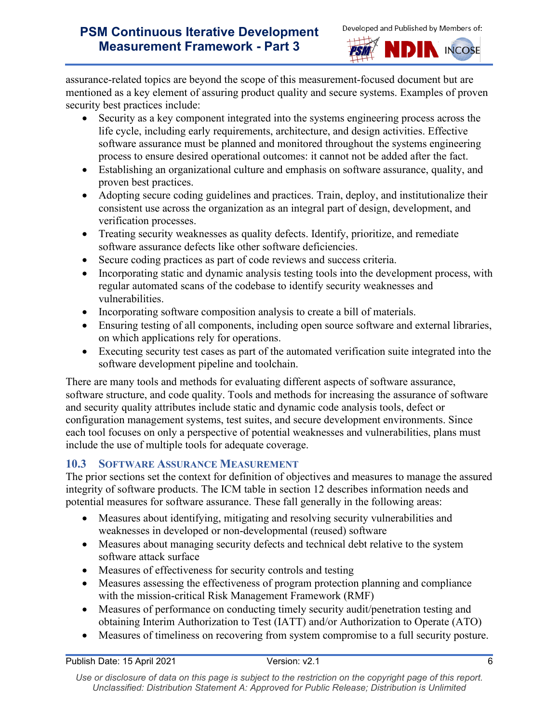



assurance-related topics are beyond the scope of this measurement-focused document but are mentioned as a key element of assuring product quality and secure systems. Examples of proven security best practices include:

- Security as a key component integrated into the systems engineering process across the life cycle, including early requirements, architecture, and design activities. Effective software assurance must be planned and monitored throughout the systems engineering process to ensure desired operational outcomes: it cannot not be added after the fact.
- Establishing an organizational culture and emphasis on software assurance, quality, and proven best practices.
- Adopting secure coding guidelines and practices. Train, deploy, and institutionalize their consistent use across the organization as an integral part of design, development, and verification processes.
- Treating security weaknesses as quality defects. Identify, prioritize, and remediate software assurance defects like other software deficiencies.
- Secure coding practices as part of code reviews and success criteria.
- Incorporating static and dynamic analysis testing tools into the development process, with regular automated scans of the codebase to identify security weaknesses and vulnerabilities.
- Incorporating software composition analysis to create a bill of materials.
- Ensuring testing of all components, including open source software and external libraries, on which applications rely for operations.
- Executing security test cases as part of the automated verification suite integrated into the software development pipeline and toolchain.

There are many tools and methods for evaluating different aspects of software assurance, software structure, and code quality. Tools and methods for increasing the assurance of software and security quality attributes include static and dynamic code analysis tools, defect or configuration management systems, test suites, and secure development environments. Since each tool focuses on only a perspective of potential weaknesses and vulnerabilities, plans must include the use of multiple tools for adequate coverage.

### <span id="page-8-0"></span>**10.3 SOFTWARE ASSURANCE MEASUREMENT**

The prior sections set the context for definition of objectives and measures to manage the assured integrity of software products. The ICM table in section 12 describes information needs and potential measures for software assurance. These fall generally in the following areas:

- Measures about identifying, mitigating and resolving security vulnerabilities and weaknesses in developed or non-developmental (reused) software
- Measures about managing security defects and technical debt relative to the system software attack surface
- Measures of effectiveness for security controls and testing
- Measures assessing the effectiveness of program protection planning and compliance with the mission-critical Risk Management Framework (RMF)
- Measures of performance on conducting timely security audit/penetration testing and obtaining Interim Authorization to Test (IATT) and/or Authorization to Operate (ATO)
- Measures of timeliness on recovering from system compromise to a full security posture.

Use or disclosure of data on this page is subject to the restriction on the copyright page of this report. *Unclassified: Distribution Statement A: Approved for Public Release; Distribution is Unlimited*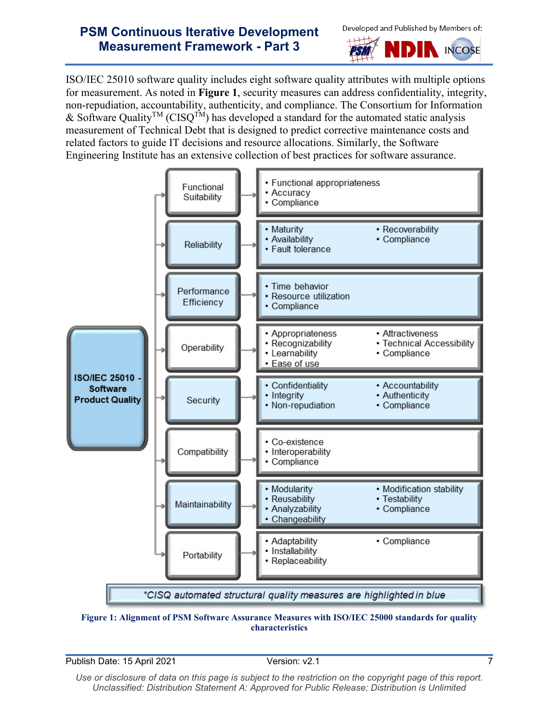



ISO/IEC 25010 software quality includes eight software quality attributes with multiple options for measurement. As noted in **[Figure 1](#page-9-0)**, security measures can address confidentiality, integrity, non-repudiation, accountability, authenticity, and compliance. The Consortium for Information & Software Quality<sup>TM</sup> (CISQ<sup>TM</sup>) has developed a standard for the automated static analysis measurement of Technical Debt that is designed to predict corrective maintenance costs and related factors to guide IT decisions and resource allocations. Similarly, the Software Engineering Institute has an extensive collection of best practices for software assurance.



<span id="page-9-0"></span>

Publish Date: 15 April 2021 Version: v2.1 7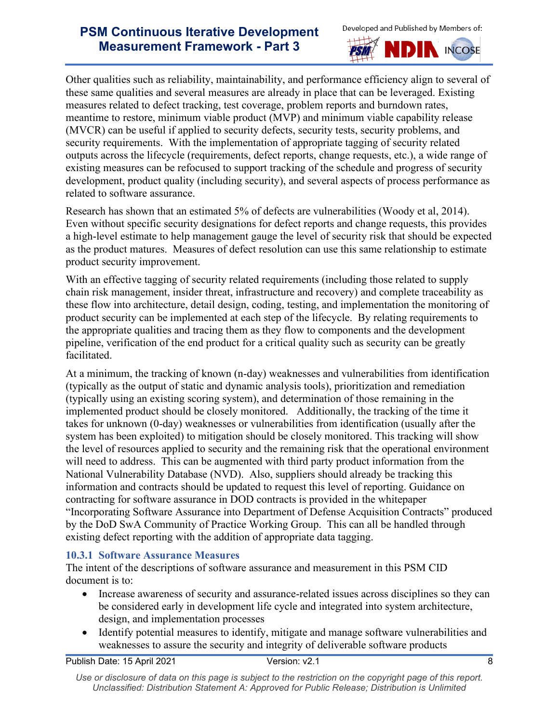



Other qualities such as reliability, maintainability, and performance efficiency align to several of these same qualities and several measures are already in place that can be leveraged. Existing measures related to defect tracking, test coverage, problem reports and burndown rates, meantime to restore, minimum viable product (MVP) and minimum viable capability release (MVCR) can be useful if applied to security defects, security tests, security problems, and security requirements. With the implementation of appropriate tagging of security related outputs across the lifecycle (requirements, defect reports, change requests, etc.), a wide range of existing measures can be refocused to support tracking of the schedule and progress of security development, product quality (including security), and several aspects of process performance as related to software assurance.

Research has shown that an estimated 5% of defects are vulnerabilities (Woody et al, 2014). Even without specific security designations for defect reports and change requests, this provides a high-level estimate to help management gauge the level of security risk that should be expected as the product matures. Measures of defect resolution can use this same relationship to estimate product security improvement.

With an effective tagging of security related requirements (including those related to supply chain risk management, insider threat, infrastructure and recovery) and complete traceability as these flow into architecture, detail design, coding, testing, and implementation the monitoring of product security can be implemented at each step of the lifecycle. By relating requirements to the appropriate qualities and tracing them as they flow to components and the development pipeline, verification of the end product for a critical quality such as security can be greatly facilitated.

At a minimum, the tracking of known (n-day) weaknesses and vulnerabilities from identification (typically as the output of static and dynamic analysis tools), prioritization and remediation (typically using an existing scoring system), and determination of those remaining in the implemented product should be closely monitored. Additionally, the tracking of the time it takes for unknown (0-day) weaknesses or vulnerabilities from identification (usually after the system has been exploited) to mitigation should be closely monitored. This tracking will show the level of resources applied to security and the remaining risk that the operational environment will need to address. This can be augmented with third party product information from the National Vulnerability Database (NVD). Also, suppliers should already be tracking this information and contracts should be updated to request this level of reporting. Guidance on contracting for software assurance in DOD contracts is provided in the whitepaper "Incorporating Software Assurance into Department of Defense Acquisition Contracts" produced by the DoD SwA Community of Practice Working Group. This can all be handled through existing defect reporting with the addition of appropriate data tagging.

#### <span id="page-10-0"></span>**10.3.1 Software Assurance Measures**

The intent of the descriptions of software assurance and measurement in this PSM CID document is to:

- Increase awareness of security and assurance-related issues across disciplines so they can be considered early in development life cycle and integrated into system architecture, design, and implementation processes
- Identify potential measures to identify, mitigate and manage software vulnerabilities and weaknesses to assure the security and integrity of deliverable software products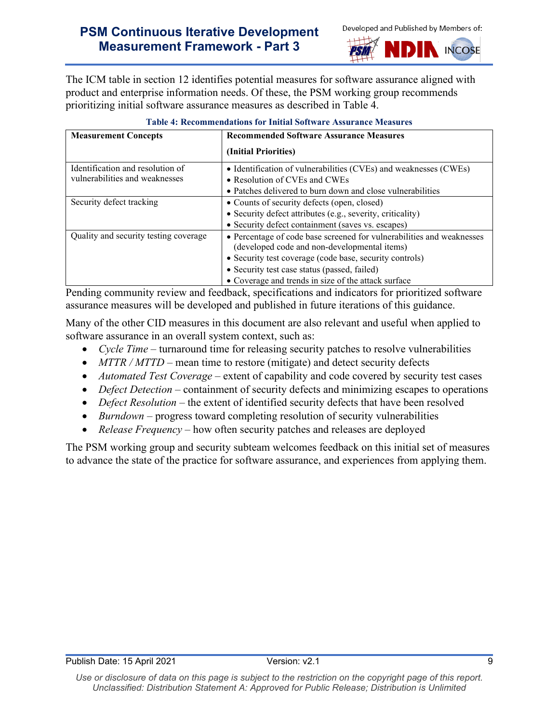



The ICM table in section 12 identifies potential measures for software assurance aligned with product and enterprise information needs. Of these, the PSM working group recommends prioritizing initial software assurance measures as described in Table 4.

<span id="page-11-0"></span>

| <b>Measurement Concepts</b>           | <b>Recommended Software Assurance Measures</b>                        |
|---------------------------------------|-----------------------------------------------------------------------|
|                                       | (Initial Priorities)                                                  |
| Identification and resolution of      | • Identification of vulnerabilities (CVEs) and weaknesses (CWEs)      |
| vulnerabilities and weaknesses        | • Resolution of CVEs and CWEs                                         |
|                                       | • Patches delivered to burn down and close vulnerabilities            |
| Security defect tracking              | • Counts of security defects (open, closed)                           |
|                                       | • Security defect attributes (e.g., severity, criticality)            |
|                                       | • Security defect containment (saves vs. escapes)                     |
| Quality and security testing coverage | • Percentage of code base screened for vulnerabilities and weaknesses |
|                                       | (developed code and non-developmental items)                          |
|                                       | • Security test coverage (code base, security controls)               |
|                                       | • Security test case status (passed, failed)                          |
|                                       | • Coverage and trends in size of the attack surface                   |

#### **Table 4: Recommendations for Initial Software Assurance Measures**

Pending community review and feedback, specifications and indicators for prioritized software assurance measures will be developed and published in future iterations of this guidance.

Many of the other CID measures in this document are also relevant and useful when applied to software assurance in an overall system context, such as:

- *Cycle Time* turnaround time for releasing security patches to resolve vulnerabilities
- *MTTR / MTTD* mean time to restore (mitigate) and detect security defects
- *Automated Test Coverage* extent of capability and code covered by security test cases
- *Defect Detection* containment of security defects and minimizing escapes to operations
- *Defect Resolution* the extent of identified security defects that have been resolved
- *Burndown* progress toward completing resolution of security vulnerabilities
- *Release Frequency* how often security patches and releases are deployed

The PSM working group and security subteam welcomes feedback on this initial set of measures to advance the state of the practice for software assurance, and experiences from applying them.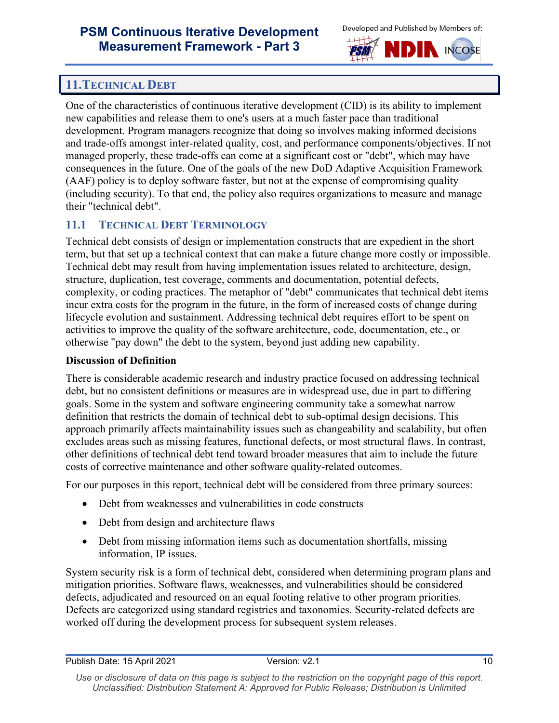



# <span id="page-12-0"></span>**11.TECHNICAL DEBT**

One of the characteristics of continuous iterative development (CID) is its ability to implement new capabilities and release them to one's users at a much faster pace than traditional development. Program managers recognize that doing so involves making informed decisions and trade-offs amongst inter-related quality, cost, and performance components/objectives. If not managed properly, these trade-offs can come at a significant cost or "debt", which may have consequences in the future. One of the goals of the new DoD Adaptive Acquisition Framework (AAF) policy is to deploy software faster, but not at the expense of compromising quality (including security). To that end, the policy also requires organizations to measure and manage their "technical debt".

## <span id="page-12-1"></span>**11.1 TECHNICAL DEBT TERMINOLOGY**

Technical debt consists of design or implementation constructs that are expedient in the short term, but that set up a technical context that can make a future change more costly or impossible. Technical debt may result from having implementation issues related to architecture, design, structure, duplication, test coverage, comments and documentation, potential defects, complexity, or coding practices. The metaphor of "debt" communicates that technical debt items incur extra costs for the program in the future, in the form of increased costs of change during lifecycle evolution and sustainment. Addressing technical debt requires effort to be spent on activities to improve the quality of the software architecture, code, documentation, etc., or otherwise "pay down" the debt to the system, beyond just adding new capability.

#### **Discussion of Definition**

There is considerable academic research and industry practice focused on addressing technical debt, but no consistent definitions or measures are in widespread use, due in part to differing goals. Some in the system and software engineering community take a somewhat narrow definition that restricts the domain of technical debt to sub-optimal design decisions. This approach primarily affects maintainability issues such as changeability and scalability, but often excludes areas such as missing features, functional defects, or most structural flaws. In contrast, other definitions of technical debt tend toward broader measures that aim to include the future costs of corrective maintenance and other software quality-related outcomes.

For our purposes in this report, technical debt will be considered from three primary sources:

- Debt from weaknesses and vulnerabilities in code constructs
- Debt from design and architecture flaws
- Debt from missing information items such as documentation shortfalls, missing information, IP issues.

System security risk is a form of technical debt, considered when determining program plans and mitigation priorities. Software flaws, weaknesses, and vulnerabilities should be considered defects, adjudicated and resourced on an equal footing relative to other program priorities. Defects are categorized using standard registries and taxonomies. Security-related defects are worked off during the development process for subsequent system releases.

Use or disclosure of data on this page is subject to the restriction on the copyright page of this report. *Unclassified: Distribution Statement A: Approved for Public Release; Distribution is Unlimited*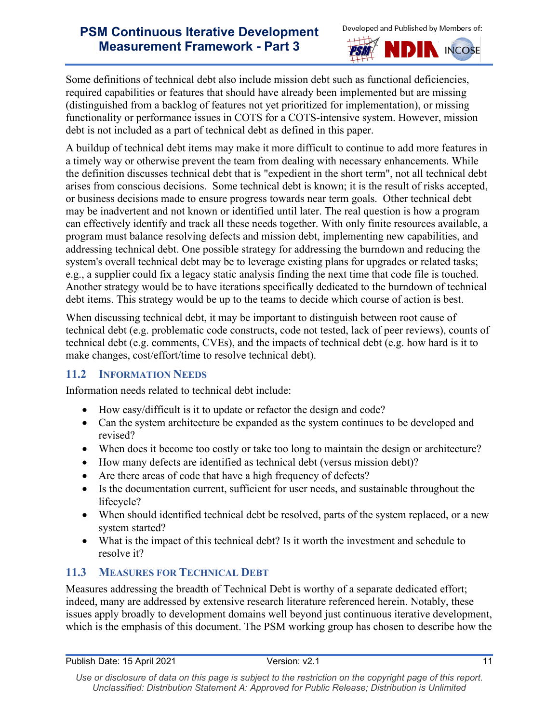



Some definitions of technical debt also include mission debt such as functional deficiencies, required capabilities or features that should have already been implemented but are missing (distinguished from a backlog of features not yet prioritized for implementation), or missing functionality or performance issues in COTS for a COTS-intensive system. However, mission debt is not included as a part of technical debt as defined in this paper.

A buildup of technical debt items may make it more difficult to continue to add more features in a timely way or otherwise prevent the team from dealing with necessary enhancements. While the definition discusses technical debt that is "expedient in the short term", not all technical debt arises from conscious decisions. Some technical debt is known; it is the result of risks accepted, or business decisions made to ensure progress towards near term goals. Other technical debt may be inadvertent and not known or identified until later. The real question is how a program can effectively identify and track all these needs together. With only finite resources available, a program must balance resolving defects and mission debt, implementing new capabilities, and addressing technical debt. One possible strategy for addressing the burndown and reducing the system's overall technical debt may be to leverage existing plans for upgrades or related tasks; e.g., a supplier could fix a legacy static analysis finding the next time that code file is touched. Another strategy would be to have iterations specifically dedicated to the burndown of technical debt items. This strategy would be up to the teams to decide which course of action is best.

When discussing technical debt, it may be important to distinguish between root cause of technical debt (e.g. problematic code constructs, code not tested, lack of peer reviews), counts of technical debt (e.g. comments, CVEs), and the impacts of technical debt (e.g. how hard is it to make changes, cost/effort/time to resolve technical debt).

### <span id="page-13-0"></span>**11.2 INFORMATION NEEDS**

Information needs related to technical debt include:

- How easy/difficult is it to update or refactor the design and code?
- Can the system architecture be expanded as the system continues to be developed and revised?
- When does it become too costly or take too long to maintain the design or architecture?
- How many defects are identified as technical debt (versus mission debt)?
- Are there areas of code that have a high frequency of defects?
- Is the documentation current, sufficient for user needs, and sustainable throughout the lifecycle?
- When should identified technical debt be resolved, parts of the system replaced, or a new system started?
- What is the impact of this technical debt? Is it worth the investment and schedule to resolve it?

# <span id="page-13-1"></span>**11.3 MEASURES FOR TECHNICAL DEBT**

Measures addressing the breadth of Technical Debt is worthy of a separate dedicated effort; indeed, many are addressed by extensive research literature referenced herein. Notably, these issues apply broadly to development domains well beyond just continuous iterative development, which is the emphasis of this document. The PSM working group has chosen to describe how the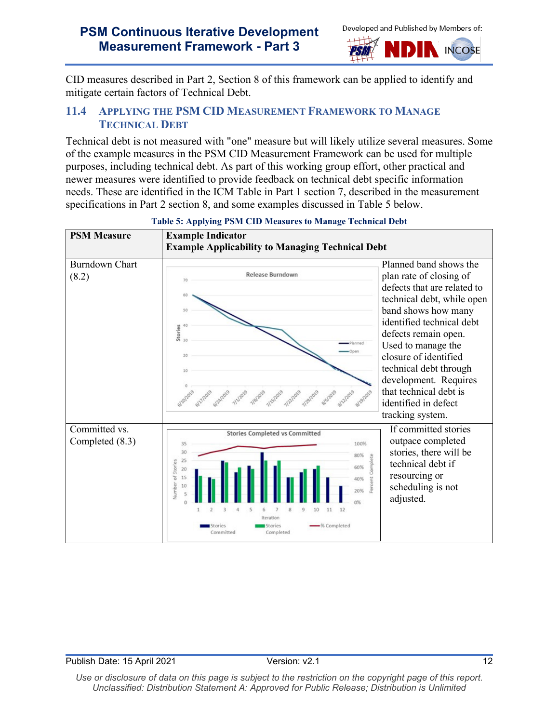



CID measures described in Part 2, Section 8 of this framework can be applied to identify and mitigate certain factors of Technical Debt.

#### <span id="page-14-0"></span>**11.4 APPLYING THE PSM CID MEASUREMENT FRAMEWORK TO MANAGE TECHNICAL DEBT**

Technical debt is not measured with "one" measure but will likely utilize several measures. Some of the example measures in the PSM CID Measurement Framework can be used for multiple purposes, including technical debt. As part of this working group effort, other practical and newer measures were identified to provide feedback on technical debt specific information needs. These are identified in the ICM Table in Part 1 section 7, described in the measurement specifications in Part 2 section 8, and some examples discussed in [Table 5](#page-14-1) below.

<span id="page-14-1"></span>

#### **Table 5: Applying PSM CID Measures to Manage Technical Debt**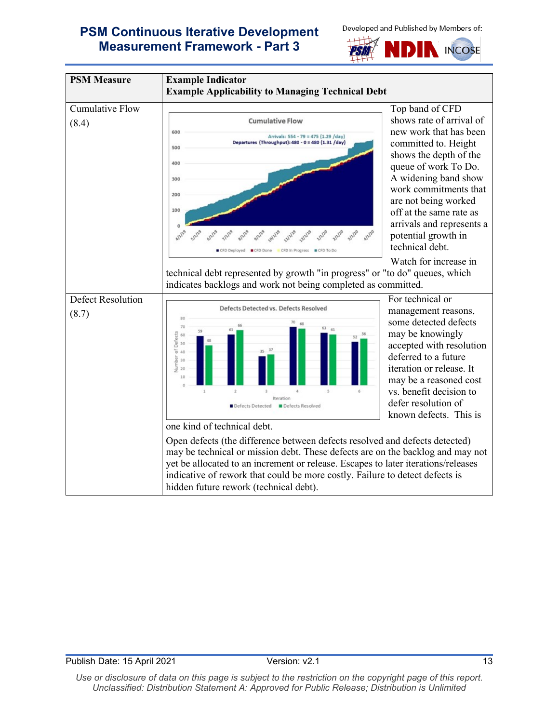





Use or disclosure of data on this page is subject to the restriction on the copyright page of this report. *Unclassified: Distribution Statement A: Approved for Public Release; Distribution is Unlimited*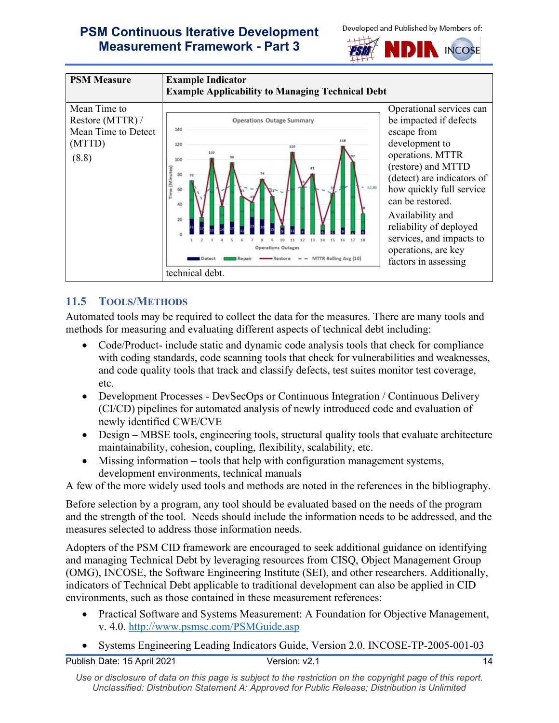





## <span id="page-16-0"></span>**11.5 TOOLS/METHODS**

Automated tools may be required to collect the data for the measures. There are many tools and methods for measuring and evaluating different aspects of technical debt including:

- Code/Product- include static and dynamic code analysis tools that check for compliance with coding standards, code scanning tools that check for vulnerabilities and weaknesses, and code quality tools that track and classify defects, test suites monitor test coverage, etc.
- Development Processes DevSecOps or Continuous Integration / Continuous Delivery (CI/CD) pipelines for automated analysis of newly introduced code and evaluation of newly identified CWE/CVE
- Design MBSE tools, engineering tools, structural quality tools that evaluate architecture maintainability, cohesion, coupling, flexibility, scalability, etc.
- Missing information tools that help with configuration management systems, development environments, technical manuals

A few of the more widely used tools and methods are noted in the references in the bibliography.

Before selection by a program, any tool should be evaluated based on the needs of the program and the strength of the tool. Needs should include the information needs to be addressed, and the measures selected to address those information needs.

Adopters of the PSM CID framework are encouraged to seek additional guidance on identifying and managing Technical Debt by leveraging resources from CISQ, Object Management Group (OMG), INCOSE, the Software Engineering Institute (SEI), and other researchers. Additionally, indicators of Technical Debt applicable to traditional development can also be applied in CID environments, such as those contained in these measurement references:

- Practical Software and Systems Measurement: A Foundation for Objective Management, v. 4.0.<http://www.psmsc.com/PSMGuide.asp>
- Systems Engineering Leading Indicators Guide, Version 2.0. INCOSE-TP-2005-001-03

Use or disclosure of data on this page is subject to the restriction on the copyright page of this report. *Unclassified: Distribution Statement A: Approved for Public Release; Distribution is Unlimited*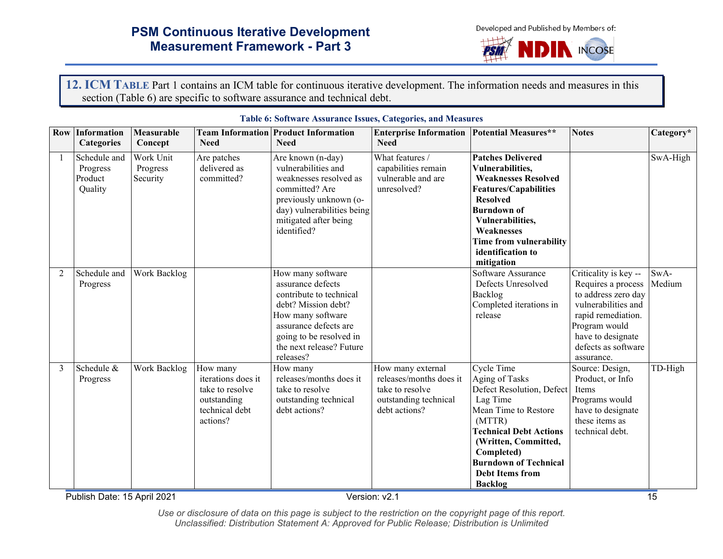Developed and Published by Members of:



**12. ICM TABLE** Part 1 contains an ICM table for continuous iterative development. The information needs and measures in this section [\(Table 6\)](#page-17-2) are specific to software assurance and technical debt.

<span id="page-17-2"></span><span id="page-17-1"></span><span id="page-17-0"></span>

|   | <b>Row Information</b><br><b>Categories</b>    | Measurable<br>Concept             | <b>Need</b>                                                                                    | <b>Team Information Product Information</b><br><b>Need</b>                                                                                                                                                 | <b>Enterprise Information Potential Measures**</b><br><b>Need</b>                                         |                                                                                                                                                                                                                                                                   | <b>Notes</b>                                                                                                                                                                               | Category*      |
|---|------------------------------------------------|-----------------------------------|------------------------------------------------------------------------------------------------|------------------------------------------------------------------------------------------------------------------------------------------------------------------------------------------------------------|-----------------------------------------------------------------------------------------------------------|-------------------------------------------------------------------------------------------------------------------------------------------------------------------------------------------------------------------------------------------------------------------|--------------------------------------------------------------------------------------------------------------------------------------------------------------------------------------------|----------------|
|   | Schedule and<br>Progress<br>Product<br>Quality | Work Unit<br>Progress<br>Security | Are patches<br>delivered as<br>committed?                                                      | Are known (n-day)<br>vulnerabilities and<br>weaknesses resolved as<br>committed? Are<br>previously unknown (o-<br>day) vulnerabilities being<br>mitigated after being<br>identified?                       | What features /<br>capabilities remain<br>vulnerable and are<br>unresolved?                               | <b>Patches Delivered</b><br>Vulnerabilities,<br><b>Weaknesses Resolved</b><br><b>Features/Capabilities</b><br><b>Resolved</b><br><b>Burndown of</b><br>Vulnerabilities,<br>Weaknesses<br>Time from vulnerability<br>identification to<br>mitigation               |                                                                                                                                                                                            | SwA-High       |
| 2 | Schedule and<br>Progress                       | Work Backlog                      |                                                                                                | How many software<br>assurance defects<br>contribute to technical<br>debt? Mission debt?<br>How many software<br>assurance defects are<br>going to be resolved in<br>the next release? Future<br>releases? |                                                                                                           | Software Assurance<br>Defects Unresolved<br>Backlog<br>Completed iterations in<br>release                                                                                                                                                                         | Criticality is key --<br>Requires a process<br>to address zero day<br>vulnerabilities and<br>rapid remediation.<br>Program would<br>have to designate<br>defects as software<br>assurance. | SwA-<br>Medium |
| 3 | Schedule &<br>Progress                         | Work Backlog                      | How many<br>iterations does it<br>take to resolve<br>outstanding<br>technical debt<br>actions? | How many<br>releases/months does it<br>take to resolve<br>outstanding technical<br>debt actions?                                                                                                           | How many external<br>releases/months does it<br>take to resolve<br>outstanding technical<br>debt actions? | <b>Cycle Time</b><br>Aging of Tasks<br>Defect Resolution, Defect<br>Lag Time<br>Mean Time to Restore<br>(MTTR)<br><b>Technical Debt Actions</b><br>(Written, Committed,<br>Completed)<br><b>Burndown of Technical</b><br><b>Debt Items from</b><br><b>Backlog</b> | Source: Design,<br>Product, or Info<br>Items<br>Programs would<br>have to designate<br>these items as<br>technical debt.                                                                   | TD-High        |

#### **Table 6: Software Assurance Issues, Categories, and Measures**

Publish Date: 15 April 2021 2021 2021 Version: v2.1 2001 2012 15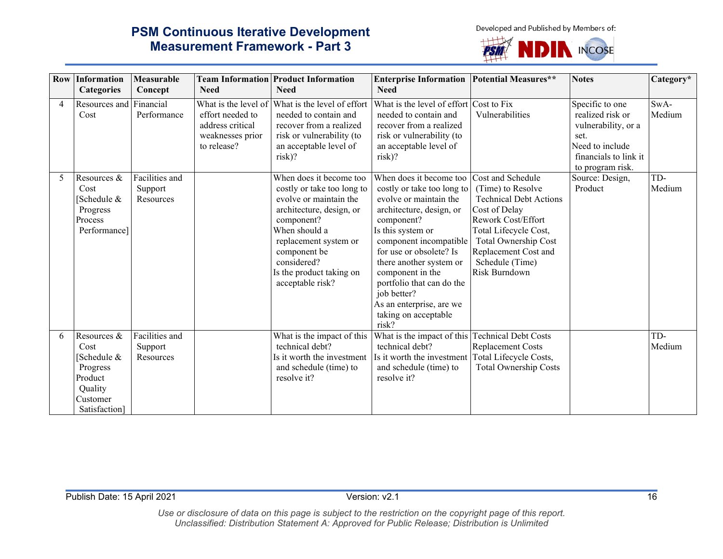Developed and Published by Members of:



|                | <b>Row Information</b><br>Categories                                                             | Measurable<br>Concept                  | <b>Need</b>                                                                                     | <b>Team Information Product Information</b><br><b>Need</b>                                                                                                                                                                                         | <b>Enterprise Information   Potential Measures**</b><br><b>Need</b>                                                                                                                                                                                                                                                                                         |                                                                                                                                                                                                                             | <b>Notes</b>                                                                                                                       | Category*      |
|----------------|--------------------------------------------------------------------------------------------------|----------------------------------------|-------------------------------------------------------------------------------------------------|----------------------------------------------------------------------------------------------------------------------------------------------------------------------------------------------------------------------------------------------------|-------------------------------------------------------------------------------------------------------------------------------------------------------------------------------------------------------------------------------------------------------------------------------------------------------------------------------------------------------------|-----------------------------------------------------------------------------------------------------------------------------------------------------------------------------------------------------------------------------|------------------------------------------------------------------------------------------------------------------------------------|----------------|
|                |                                                                                                  |                                        |                                                                                                 |                                                                                                                                                                                                                                                    |                                                                                                                                                                                                                                                                                                                                                             |                                                                                                                                                                                                                             |                                                                                                                                    |                |
| $\overline{4}$ | Resources and Financial<br>Cost                                                                  | Performance                            | What is the level of<br>effort needed to<br>address critical<br>weaknesses prior<br>to release? | What is the level of effort<br>needed to contain and<br>recover from a realized<br>risk or vulnerability (to<br>an acceptable level of<br>risk)?                                                                                                   | What is the level of effort Cost to Fix<br>needed to contain and<br>recover from a realized<br>risk or vulnerability (to<br>an acceptable level of<br>risk)?                                                                                                                                                                                                | Vulnerabilities                                                                                                                                                                                                             | Specific to one<br>realized risk or<br>vulnerability, or a<br>set.<br>Need to include<br>financials to link it<br>to program risk. | SwA-<br>Medium |
| 5              | Resources &<br>Cost<br>Schedule &<br>Progress<br>Process<br>Performance]                         | Facilities and<br>Support<br>Resources |                                                                                                 | When does it become too<br>costly or take too long to<br>evolve or maintain the<br>architecture, design, or<br>component?<br>When should a<br>replacement system or<br>component be<br>considered?<br>Is the product taking on<br>acceptable risk? | When does it become too<br>costly or take too long to<br>evolve or maintain the<br>architecture, design, or<br>component?<br>Is this system or<br>component incompatible<br>for use or obsolete? Is<br>there another system or<br>component in the<br>portfolio that can do the<br>job better?<br>As an enterprise, are we<br>taking on acceptable<br>risk? | Cost and Schedule<br>(Time) to Resolve<br><b>Technical Debt Actions</b><br>Cost of Delay<br>Rework Cost/Effort<br>Total Lifecycle Cost,<br>Total Ownership Cost<br>Replacement Cost and<br>Schedule (Time)<br>Risk Burndown | Source: Design,<br>Product                                                                                                         | TD-<br>Medium  |
| 6              | Resources &<br>Cost<br>Schedule &<br>Progress<br>Product<br>Quality<br>Customer<br>Satisfaction] | Facilities and<br>Support<br>Resources |                                                                                                 | What is the impact of this<br>technical debt?<br>Is it worth the investment<br>and schedule (time) to<br>resolve it?                                                                                                                               | What is the impact of this Technical Debt Costs<br>technical debt?<br>Is it worth the investment<br>and schedule (time) to<br>resolve it?                                                                                                                                                                                                                   | Replacement Costs<br>Total Lifecycle Costs,<br>Total Ownership Costs                                                                                                                                                        |                                                                                                                                    | TD-<br>Medium  |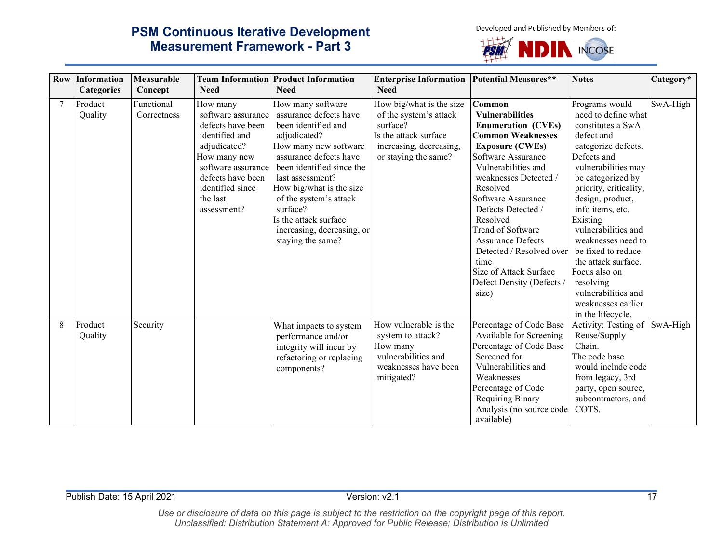Developed and Published by Members of:

# **PSM Continuous Iterative Development Measurement Framework - Part 3**

 $+$ **NDIN INCOSE PSI** 

|   | <b>Row Information</b> | Measurable                |                                                                                                                                                                                                 | <b>Team Information Product Information</b>                                                                                                                                                                                                                                                                                          | <b>Enterprise Information</b>                                                                                                              | <b>Potential Measures**</b>                                                                                                                                                                                                                                                                                                                                                                                        | <b>Notes</b>                                                                                                                                                                                                                                                                                                                                                                                                                       | Category* |
|---|------------------------|---------------------------|-------------------------------------------------------------------------------------------------------------------------------------------------------------------------------------------------|--------------------------------------------------------------------------------------------------------------------------------------------------------------------------------------------------------------------------------------------------------------------------------------------------------------------------------------|--------------------------------------------------------------------------------------------------------------------------------------------|--------------------------------------------------------------------------------------------------------------------------------------------------------------------------------------------------------------------------------------------------------------------------------------------------------------------------------------------------------------------------------------------------------------------|------------------------------------------------------------------------------------------------------------------------------------------------------------------------------------------------------------------------------------------------------------------------------------------------------------------------------------------------------------------------------------------------------------------------------------|-----------|
|   | Categories             | Concept                   | <b>Need</b>                                                                                                                                                                                     | <b>Need</b>                                                                                                                                                                                                                                                                                                                          | <b>Need</b>                                                                                                                                |                                                                                                                                                                                                                                                                                                                                                                                                                    |                                                                                                                                                                                                                                                                                                                                                                                                                                    |           |
| 7 | Product<br>Quality     | Functional<br>Correctness | How many<br>software assurance<br>defects have been<br>identified and<br>adjudicated?<br>How many new<br>software assurance<br>defects have been<br>identified since<br>the last<br>assessment? | How many software<br>assurance defects have<br>been identified and<br>adjudicated?<br>How many new software<br>assurance defects have<br>been identified since the<br>last assessment?<br>How big/what is the size<br>of the system's attack<br>surface?<br>Is the attack surface<br>increasing, decreasing, or<br>staying the same? | How big/what is the size<br>of the system's attack<br>surface?<br>Is the attack surface<br>increasing, decreasing,<br>or staying the same? | Common<br><b>Vulnerabilities</b><br><b>Enumeration (CVEs)</b><br><b>Common Weaknesses</b><br><b>Exposure (CWEs)</b><br>Software Assurance<br>Vulnerabilities and<br>weaknesses Detected /<br>Resolved<br>Software Assurance<br>Defects Detected /<br>Resolved<br>Trend of Software<br><b>Assurance Defects</b><br>Detected / Resolved over<br>time<br>Size of Attack Surface<br>Defect Density (Defects /<br>size) | Programs would<br>need to define what<br>constitutes a SwA<br>defect and<br>categorize defects.<br>Defects and<br>vulnerabilities may<br>be categorized by<br>priority, criticality,<br>design, product,<br>info items, etc.<br>Existing<br>vulnerabilities and<br>weaknesses need to<br>be fixed to reduce<br>the attack surface.<br>Focus also on<br>resolving<br>vulnerabilities and<br>weaknesses earlier<br>in the lifecycle. | SwA-High  |
| 8 | Product<br>Quality     | Security                  |                                                                                                                                                                                                 | What impacts to system<br>performance and/or<br>integrity will incur by<br>refactoring or replacing<br>components?                                                                                                                                                                                                                   | How vulnerable is the<br>system to attack?<br>How many<br>vulnerabilities and<br>weaknesses have been<br>mitigated?                        | Percentage of Code Base<br>Available for Screening<br>Percentage of Code Base<br>Screened for<br>Vulnerabilities and<br>Weaknesses<br>Percentage of Code<br>Requiring Binary<br>Analysis (no source code<br>available)                                                                                                                                                                                             | Activity: Testing of<br>Reuse/Supply<br>Chain.<br>The code base<br>would include code<br>from legacy, 3rd<br>party, open source,<br>subcontractors, and<br>COTS.                                                                                                                                                                                                                                                                   | SwA-High  |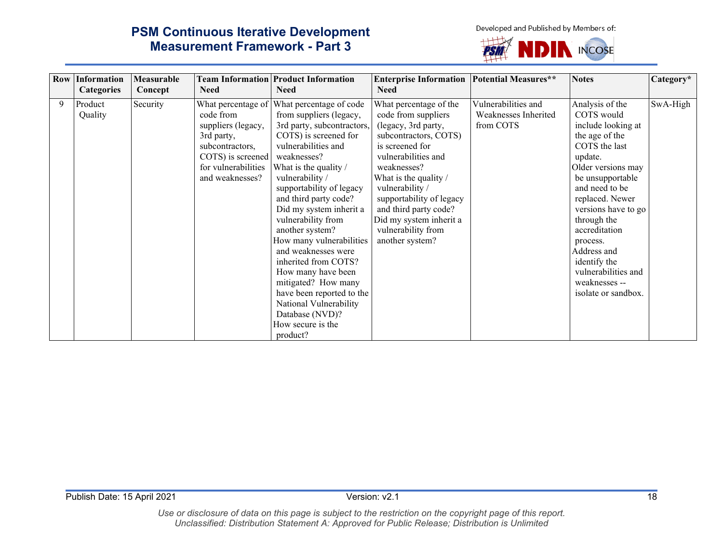Developed and Published by Members of:



|   | <b>Row Information</b><br><b>Categories</b> | Measurable<br>Concept | <b>Need</b>                                                                                                                     | <b>Team Information Product Information</b><br><b>Need</b>                                                                                                                                                                                                                                                                                                                                                                                                                                                                                                                 | <b>Enterprise Information</b><br><b>Need</b>                                                                                                                                                                                                                                                                                | <b>Potential Measures**</b>                              | <b>Notes</b>                                                                                                                                                                                                                                                                                                                                      | Category* |
|---|---------------------------------------------|-----------------------|---------------------------------------------------------------------------------------------------------------------------------|----------------------------------------------------------------------------------------------------------------------------------------------------------------------------------------------------------------------------------------------------------------------------------------------------------------------------------------------------------------------------------------------------------------------------------------------------------------------------------------------------------------------------------------------------------------------------|-----------------------------------------------------------------------------------------------------------------------------------------------------------------------------------------------------------------------------------------------------------------------------------------------------------------------------|----------------------------------------------------------|---------------------------------------------------------------------------------------------------------------------------------------------------------------------------------------------------------------------------------------------------------------------------------------------------------------------------------------------------|-----------|
| 9 | Product<br>Quality                          | Security              | code from<br>suppliers (legacy,<br>3rd party,<br>subcontractors,<br>COTS) is screened<br>for vulnerabilities<br>and weaknesses? | What percentage of What percentage of code<br>from suppliers (legacy,<br>3rd party, subcontractors,<br>COTS) is screened for<br>vulnerabilities and<br>weaknesses?<br>What is the quality /<br>vulnerability /<br>supportability of legacy<br>and third party code?<br>Did my system inherit a<br>vulnerability from<br>another system?<br>How many vulnerabilities<br>and weaknesses were<br>inherited from COTS?<br>How many have been<br>mitigated? How many<br>have been reported to the<br>National Vulnerability<br>Database (NVD)?<br>How secure is the<br>product? | What percentage of the<br>code from suppliers<br>(legacy, 3rd party,<br>subcontractors, COTS)<br>is screened for<br>vulnerabilities and<br>weaknesses?<br>What is the quality /<br>vulnerability /<br>supportability of legacy<br>and third party code?<br>Did my system inherit a<br>vulnerability from<br>another system? | Vulnerabilities and<br>Weaknesses Inherited<br>from COTS | Analysis of the<br>COTS would<br>include looking at<br>the age of the<br>COTS the last<br>update.<br>Older versions may<br>be unsupportable<br>and need to be<br>replaced. Newer<br>versions have to go<br>through the<br>accreditation<br>process.<br>Address and<br>identify the<br>vulnerabilities and<br>weaknesses --<br>isolate or sandbox. | SwA-High  |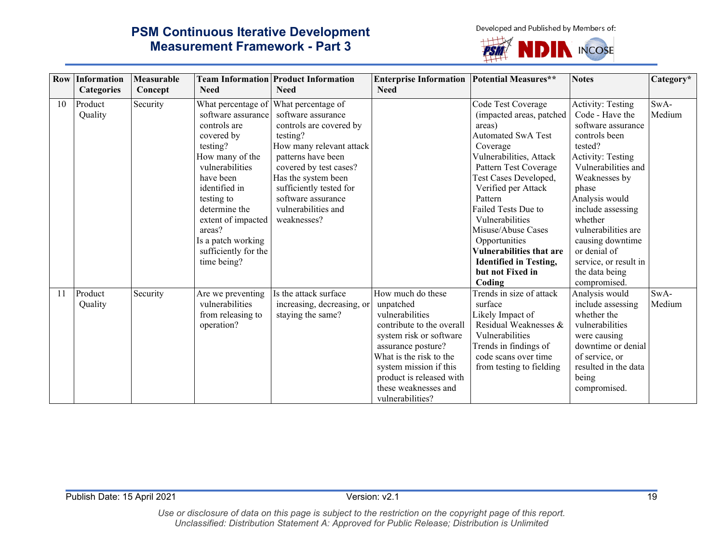Developed and Published by Members of:



| <b>Row</b> | Information        | Measurable |                                                                                                                                                                                                                                                              | <b>Team Information Product Information</b>                                                                                                                                                                                                                                                  | <b>Enterprise Information Potential Measures**</b>                                                                                                                                                                                                           |                                                                                                                                                                                                                                                                                                                                                                                                     | <b>Notes</b>                                                                                                                                                                                                                                                                                                                                | Category*      |
|------------|--------------------|------------|--------------------------------------------------------------------------------------------------------------------------------------------------------------------------------------------------------------------------------------------------------------|----------------------------------------------------------------------------------------------------------------------------------------------------------------------------------------------------------------------------------------------------------------------------------------------|--------------------------------------------------------------------------------------------------------------------------------------------------------------------------------------------------------------------------------------------------------------|-----------------------------------------------------------------------------------------------------------------------------------------------------------------------------------------------------------------------------------------------------------------------------------------------------------------------------------------------------------------------------------------------------|---------------------------------------------------------------------------------------------------------------------------------------------------------------------------------------------------------------------------------------------------------------------------------------------------------------------------------------------|----------------|
|            | <b>Categories</b>  | Concept    | <b>Need</b>                                                                                                                                                                                                                                                  | <b>Need</b>                                                                                                                                                                                                                                                                                  | <b>Need</b>                                                                                                                                                                                                                                                  |                                                                                                                                                                                                                                                                                                                                                                                                     |                                                                                                                                                                                                                                                                                                                                             |                |
| 10         | Product<br>Quality | Security   | software assurance<br>controls are<br>covered by<br>testing?<br>How many of the<br>vulnerabilities<br>have been<br>identified in<br>testing to<br>determine the<br>extent of impacted<br>areas?<br>Is a patch working<br>sufficiently for the<br>time being? | What percentage of What percentage of<br>software assurance<br>controls are covered by<br>testing?<br>How many relevant attack<br>patterns have been<br>covered by test cases?<br>Has the system been<br>sufficiently tested for<br>software assurance<br>vulnerabilities and<br>weaknesses? |                                                                                                                                                                                                                                                              | Code Test Coverage<br>(impacted areas, patched<br>areas)<br><b>Automated SwA Test</b><br>Coverage<br>Vulnerabilities, Attack<br>Pattern Test Coverage<br>Test Cases Developed,<br>Verified per Attack<br>Pattern<br>Failed Tests Due to<br>Vulnerabilities<br>Misuse/Abuse Cases<br>Opportunities<br><b>Vulnerabilities that are</b><br><b>Identified in Testing,</b><br>but not Fixed in<br>Coding | Activity: Testing<br>Code - Have the<br>software assurance<br>controls been<br>tested?<br><b>Activity: Testing</b><br>Vulnerabilities and<br>Weaknesses by<br>phase<br>Analysis would<br>include assessing<br>whether<br>vulnerabilities are<br>causing downtime<br>or denial of<br>service, or result in<br>the data being<br>compromised. | SwA-<br>Medium |
| 11         | Product<br>Quality | Security   | Are we preventing<br>vulnerabilities<br>from releasing to<br>operation?                                                                                                                                                                                      | Is the attack surface<br>increasing, decreasing, or<br>staying the same?                                                                                                                                                                                                                     | How much do these<br>unpatched<br>vulnerabilities<br>contribute to the overall<br>system risk or software<br>assurance posture?<br>What is the risk to the<br>system mission if this<br>product is released with<br>these weaknesses and<br>vulnerabilities? | Trends in size of attack<br>surface<br>Likely Impact of<br>Residual Weaknesses &<br>Vulnerabilities<br>Trends in findings of<br>code scans over time<br>from testing to fielding                                                                                                                                                                                                                    | Analysis would<br>include assessing<br>whether the<br>vulnerabilities<br>were causing<br>downtime or denial<br>of service, or<br>resulted in the data<br>being<br>compromised.                                                                                                                                                              | SwA-<br>Medium |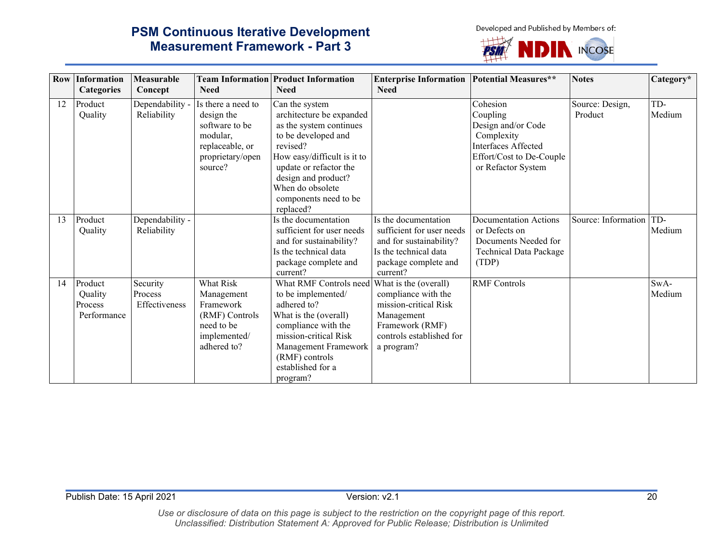Developed and Published by Members of:



|    | <b>Row Information</b><br><b>Categories</b>  | Measurable<br>Concept                | <b>Need</b>                                                                                                      | <b>Team Information Product Information</b><br><b>Need</b>                                                                                                                                                                                         | <b>Enterprise Information</b><br><b>Need</b>                                                                                                     | <b>Potential Measures**</b>                                                                                                              | <b>Notes</b>               | Category*      |
|----|----------------------------------------------|--------------------------------------|------------------------------------------------------------------------------------------------------------------|----------------------------------------------------------------------------------------------------------------------------------------------------------------------------------------------------------------------------------------------------|--------------------------------------------------------------------------------------------------------------------------------------------------|------------------------------------------------------------------------------------------------------------------------------------------|----------------------------|----------------|
| 12 | Product<br>Quality                           | Dependability -<br>Reliability       | Is there a need to<br>design the<br>software to be<br>modular.<br>replaceable, or<br>proprietary/open<br>source? | Can the system<br>architecture be expanded<br>as the system continues<br>to be developed and<br>revised?<br>How easy/difficult is it to<br>update or refactor the<br>design and product?<br>When do obsolete<br>components need to be<br>replaced? |                                                                                                                                                  | Cohesion<br>Coupling<br>Design and/or Code<br>Complexity<br><b>Interfaces Affected</b><br>Effort/Cost to De-Couple<br>or Refactor System | Source: Design,<br>Product | TD-<br>Medium  |
| 13 | Product<br>Quality                           | Dependability -<br>Reliability       |                                                                                                                  | Is the documentation<br>sufficient for user needs<br>and for sustainability?<br>Is the technical data<br>package complete and<br>current?                                                                                                          | Is the documentation<br>sufficient for user needs<br>and for sustainability?<br>Is the technical data<br>package complete and<br>current?        | <b>Documentation Actions</b><br>or Defects on<br>Documents Needed for<br>Technical Data Package<br>(TDP)                                 | Source: Information        | TD-<br>Medium  |
| 14 | Product<br>Quality<br>Process<br>Performance | Security<br>Process<br>Effectiveness | What Risk<br>Management<br>Framework<br>(RMF) Controls<br>need to be<br>implemented/<br>adhered to?              | What RMF Controls need<br>to be implemented/<br>adhered to?<br>What is the (overall)<br>compliance with the<br>mission-critical Risk<br>Management Framework<br>(RMF) controls<br>established for a<br>program?                                    | What is the (overall)<br>compliance with the<br>mission-critical Risk<br>Management<br>Framework (RMF)<br>controls established for<br>a program? | <b>RMF</b> Controls                                                                                                                      |                            | SwA-<br>Medium |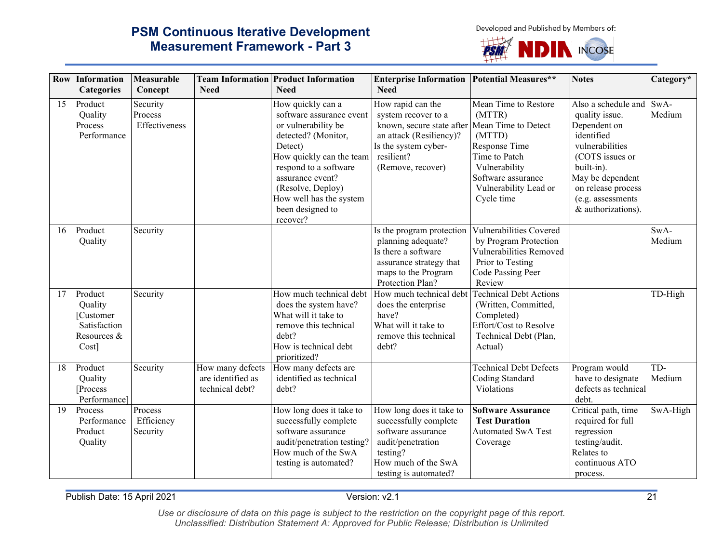Developed and Published by Members of:



|    | <b>Row Information</b><br><b>Categories</b>                                 | Measurable<br>Concept                | <b>Need</b>                                              | <b>Team Information Product Information</b><br><b>Need</b>                                                                                                                                                                                                      | <b>Enterprise Information Potential Measures**</b><br><b>Need</b>                                                                                                               |                                                                                                                                                          | <b>Notes</b>                                                                                                                                                                                                 | Category*      |
|----|-----------------------------------------------------------------------------|--------------------------------------|----------------------------------------------------------|-----------------------------------------------------------------------------------------------------------------------------------------------------------------------------------------------------------------------------------------------------------------|---------------------------------------------------------------------------------------------------------------------------------------------------------------------------------|----------------------------------------------------------------------------------------------------------------------------------------------------------|--------------------------------------------------------------------------------------------------------------------------------------------------------------------------------------------------------------|----------------|
| 15 | Product<br>Quality<br>Process<br>Performance                                | Security<br>Process<br>Effectiveness |                                                          | How quickly can a<br>software assurance event<br>or vulnerability be<br>detected? (Monitor,<br>Detect)<br>How quickly can the team<br>respond to a software<br>assurance event?<br>(Resolve, Deploy)<br>How well has the system<br>been designed to<br>recover? | How rapid can the<br>system recover to a<br>known, secure state after Mean Time to Detect<br>an attack (Resiliency)?<br>Is the system cyber-<br>resilient?<br>(Remove, recover) | Mean Time to Restore<br>(MTTR)<br>(MTTD)<br>Response Time<br>Time to Patch<br>Vulnerability<br>Software assurance<br>Vulnerability Lead or<br>Cycle time | Also a schedule and<br>quality issue.<br>Dependent on<br>identified<br>vulnerabilities<br>(COTS issues or<br>built-in).<br>May be dependent<br>on release process<br>(e.g. assessments<br>& authorizations). | SwA-<br>Medium |
| 16 | Product<br>Quality                                                          | Security                             |                                                          |                                                                                                                                                                                                                                                                 | Is the program protection<br>planning adequate?<br>Is there a software<br>assurance strategy that<br>maps to the Program<br>Protection Plan?                                    | Vulnerabilities Covered<br>by Program Protection<br>Vulnerabilities Removed<br>Prior to Testing<br>Code Passing Peer<br>Review                           |                                                                                                                                                                                                              | SwA-<br>Medium |
| 17 | Product<br>Quality<br>[Customer]<br>Satisfaction<br>Resources &<br>$Cost$ ] | Security                             |                                                          | How much technical debt<br>does the system have?<br>What will it take to<br>remove this technical<br>debt?<br>How is technical debt<br>prioritized?                                                                                                             | How much technical debt<br>does the enterprise<br>have?<br>What will it take to<br>remove this technical<br>debt?                                                               | <b>Technical Debt Actions</b><br>(Written, Committed,<br>Completed)<br>Effort/Cost to Resolve<br>Technical Debt (Plan,<br>Actual)                        |                                                                                                                                                                                                              | TD-High        |
| 18 | Product<br>Quality<br>Process<br>Performance]                               | Security                             | How many defects<br>are identified as<br>technical debt? | How many defects are<br>identified as technical<br>debt?                                                                                                                                                                                                        |                                                                                                                                                                                 | <b>Technical Debt Defects</b><br>Coding Standard<br>Violations                                                                                           | Program would<br>have to designate<br>defects as technical<br>debt.                                                                                                                                          | TD-<br>Medium  |
| 19 | Process<br>Performance<br>Product<br>Quality                                | Process<br>Efficiency<br>Security    |                                                          | How long does it take to<br>successfully complete<br>software assurance<br>audit/penetration testing?<br>How much of the SwA<br>testing is automated?                                                                                                           | How long does it take to<br>successfully complete<br>software assurance<br>audit/penetration<br>testing?<br>How much of the SwA<br>testing is automated?                        | <b>Software Assurance</b><br><b>Test Duration</b><br><b>Automated SwA Test</b><br>Coverage                                                               | Critical path, time<br>required for full<br>regression<br>testing/audit.<br>Relates to<br>continuous ATO<br>process.                                                                                         | SwA-High       |

Publish Date: 15 April 2021 21 21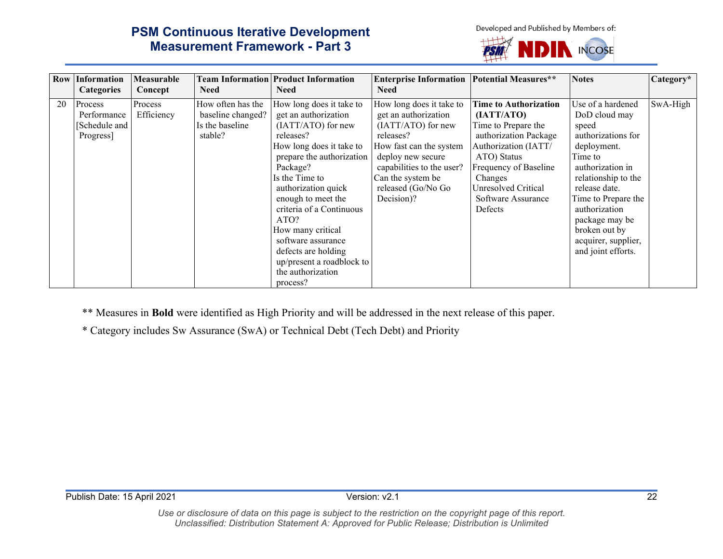Developed and Published by Members of:

# **PSM Continuous Iterative Development Measurement Framework - Part 3**

**DIN INCOSE** PSIN

|    | <b>Row Information</b><br><b>Categories</b>          | Measurable<br>Concept | <b>Need</b>                                                          | <b>Team Information Product Information</b><br><b>Need</b>                                                                                                                                                                                                                                                                                                                                  | <b>Enterprise Information   Potential Measures**</b><br><b>Need</b>                                                                                                                                                       |                                                                                                                                                                                                                               | <b>Notes</b>                                                                                                                                                                                                                                                                    | Category* |
|----|------------------------------------------------------|-----------------------|----------------------------------------------------------------------|---------------------------------------------------------------------------------------------------------------------------------------------------------------------------------------------------------------------------------------------------------------------------------------------------------------------------------------------------------------------------------------------|---------------------------------------------------------------------------------------------------------------------------------------------------------------------------------------------------------------------------|-------------------------------------------------------------------------------------------------------------------------------------------------------------------------------------------------------------------------------|---------------------------------------------------------------------------------------------------------------------------------------------------------------------------------------------------------------------------------------------------------------------------------|-----------|
| 20 | Process<br>Performance<br>[Schedule and<br>Progress] | Process<br>Efficiency | How often has the<br>baseline changed?<br>Is the baseline<br>stable? | How long does it take to<br>get an authorization<br>(IATT/ATO) for new<br>releases?<br>How long does it take to<br>prepare the authorization<br>Package?<br>Is the Time to<br>authorization quick<br>enough to meet the<br>criteria of a Continuous<br>ATO?<br>How many critical<br>software assurance<br>defects are holding<br>up/present a roadblock to<br>the authorization<br>process? | How long does it take to<br>get an authorization<br>(IATT/ATO) for new<br>releases?<br>How fast can the system<br>deploy new secure<br>capabilities to the user?<br>Can the system be<br>released (Go/No Go<br>Decision)? | <b>Time to Authorization</b><br>(IATT/ATO)<br>Time to Prepare the<br>authorization Package<br>Authorization (IATT/<br>ATO) Status<br>Frequency of Baseline<br>Changes<br>Unresolved Critical<br>Software Assurance<br>Defects | Use of a hardened<br>DoD cloud may<br>speed<br>authorizations for<br>deployment.<br>Time to<br>authorization in<br>relationship to the<br>release date.<br>Time to Prepare the<br>authorization<br>package may be<br>broken out by<br>acquirer, supplier,<br>and joint efforts. | SwA-High  |

\*\* Measures in **Bold** were identified as High Priority and will be addressed in the next release of this paper.

\* Category includes Sw Assurance (SwA) or Technical Debt (Tech Debt) and Priority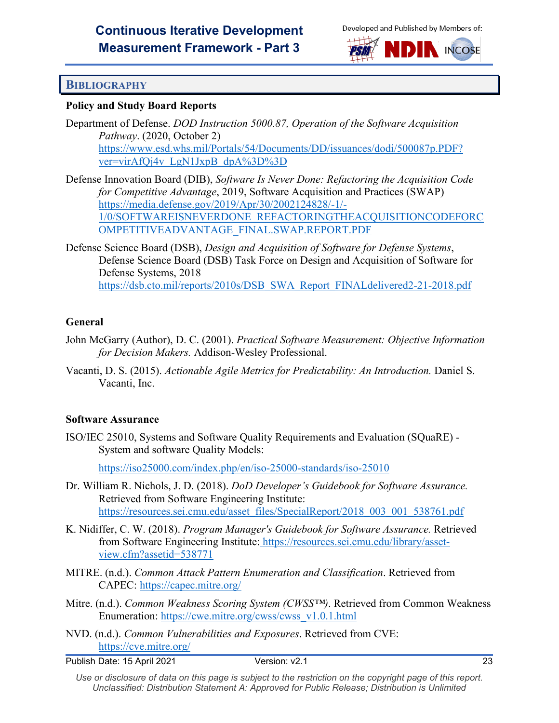



#### <span id="page-25-0"></span>**BIBLIOGRAPHY**

#### **Policy and Study Board Reports**

Department of Defense. *DOD Instruction 5000.87, Operation of the Software Acquisition Pathway*. (2020, October 2) [https://www.esd.whs.mil/Portals/54/Documents/DD/issuances/dodi/500087p.PDF?](https://www.esd.whs.mil/Portals/54/Documents/DD/issuances/dodi/500087p.PDF?ver=virAfQj4v_LgN1JxpB_dpA%3D%3D) [ver=virAfQj4v\\_LgN1JxpB\\_dpA%3D%3D](https://www.esd.whs.mil/Portals/54/Documents/DD/issuances/dodi/500087p.PDF?ver=virAfQj4v_LgN1JxpB_dpA%3D%3D)

Defense Innovation Board (DIB), *Software Is Never Done: Refactoring the Acquisition Code for Competitive Advantage*, 2019, Software Acquisition and Practices (SWAP) [https://media.defense.gov/2019/Apr/30/2002124828/-1/-](https://media.defense.gov/2019/Apr/30/2002124828/-1/-1/0/SOFTWAREISNEVERDONE_REFACTORINGTHEACQUISITIONCODEFORCOMPETITIVEADVANTAGE_FINAL.SWAP.REPORT.PDF) [1/0/SOFTWAREISNEVERDONE\\_REFACTORINGTHEACQUISITIONCODEFORC](https://media.defense.gov/2019/Apr/30/2002124828/-1/-1/0/SOFTWAREISNEVERDONE_REFACTORINGTHEACQUISITIONCODEFORCOMPETITIVEADVANTAGE_FINAL.SWAP.REPORT.PDF) [OMPETITIVEADVANTAGE\\_FINAL.SWAP.REPORT.PDF](https://media.defense.gov/2019/Apr/30/2002124828/-1/-1/0/SOFTWAREISNEVERDONE_REFACTORINGTHEACQUISITIONCODEFORCOMPETITIVEADVANTAGE_FINAL.SWAP.REPORT.PDF)

Defense Science Board (DSB), *Design and Acquisition of Software for Defense Systems*, Defense Science Board (DSB) Task Force on Design and Acquisition of Software for Defense Systems, 2018 [https://dsb.cto.mil/reports/2010s/DSB\\_SWA\\_Report\\_FINALdelivered2-21-2018.pdf](https://dsb.cto.mil/reports/2010s/DSB_SWA_Report_FINALdelivered2-21-2018.pdf)

#### **General**

- John McGarry (Author), D. C. (2001). *Practical Software Measurement: Objective Information for Decision Makers.* Addison-Wesley Professional.
- Vacanti, D. S. (2015). *Actionable Agile Metrics for Predictability: An Introduction.* Daniel S. Vacanti, Inc.

#### **Software Assurance**

ISO/IEC 25010, Systems and Software Quality Requirements and Evaluation (SQuaRE) - System and software Quality Models:

<https://iso25000.com/index.php/en/iso-25000-standards/iso-25010>

- Dr. William R. Nichols, J. D. (2018). *DoD Developer's Guidebook for Software Assurance.* Retrieved from Software Engineering Institute: [https://resources.sei.cmu.edu/asset\\_files/SpecialReport/2018\\_003\\_001\\_538761.pdf](https://resources.sei.cmu.edu/asset_files/SpecialReport/2018_003_001_538761.pdf)
- K. Nidiffer, C. W. (2018). *Program Manager's Guidebook for Software Assurance.* Retrieved from Software Engineering Institute: [https://resources.sei.cmu.edu/library/asset](https://resources.sei.cmu.edu/library/asset-view.cfm?assetid=538771)[view.cfm?assetid=538771](https://resources.sei.cmu.edu/library/asset-view.cfm?assetid=538771)
- MITRE. (n.d.). *Common Attack Pattern Enumeration and Classification*. Retrieved from CAPEC:<https://capec.mitre.org/>
- Mitre. (n.d.). *Common Weakness Scoring System (CWSS™)*. Retrieved from Common Weakness Enumeration: [https://cwe.mitre.org/cwss/cwss\\_v1.0.1.html](https://cwe.mitre.org/cwss/cwss_v1.0.1.html)
- NVD. (n.d.). *Common Vulnerabilities and Exposures*. Retrieved from CVE: <https://cve.mitre.org/>